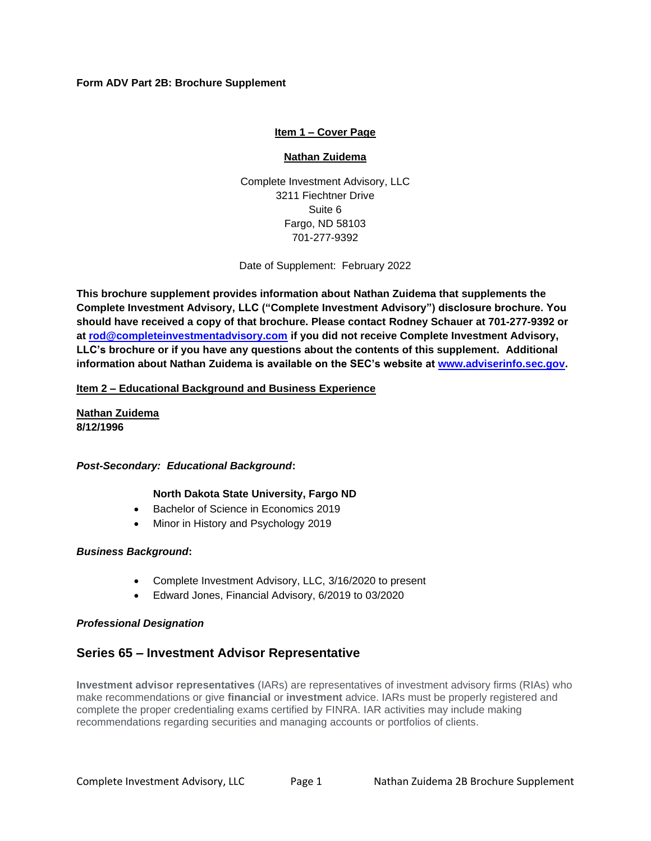# **Form ADV Part 2B: Brochure Supplement**

# **Item 1 – Cover Page**

## **Nathan Zuidema**

Complete Investment Advisory, LLC 3211 Fiechtner Drive Suite 6 Fargo, ND 58103 701-277-9392

Date of Supplement: February 2022

**This brochure supplement provides information about Nathan Zuidema that supplements the Complete Investment Advisory, LLC ("Complete Investment Advisory") disclosure brochure. You should have received a copy of that brochure. Please contact Rodney Schauer at 701-277-9392 or at [rod@completeinvestmentadvisory.com](mailto:rod@completeinvestmentadvisory.com) if you did not receive Complete Investment Advisory, LLC's brochure or if you have any questions about the contents of this supplement. Additional information about Nathan Zuidema is available on the SEC's website at [www.adviserinfo.sec.gov.](http://www.adviserinfo.sec.gov/)**

## **Item 2 – Educational Background and Business Experience**

**Nathan Zuidema 8/12/1996**

## *Post-Secondary: Educational Background***:**

## **North Dakota State University, Fargo ND**

- Bachelor of Science in Economics 2019
- Minor in History and Psychology 2019

## *Business Background***:**

- Complete Investment Advisory, LLC, 3/16/2020 to present
- Edward Jones, Financial Advisory, 6/2019 to 03/2020

## *Professional Designation*

# **Series 65 – Investment Advisor Representative**

**Investment advisor representatives** (IARs) are representatives of investment advisory firms (RIAs) who make recommendations or give **financial** or **investment** advice. IARs must be properly registered and complete the proper credentialing exams certified by FINRA. IAR activities may include making recommendations regarding securities and managing accounts or portfolios of clients.